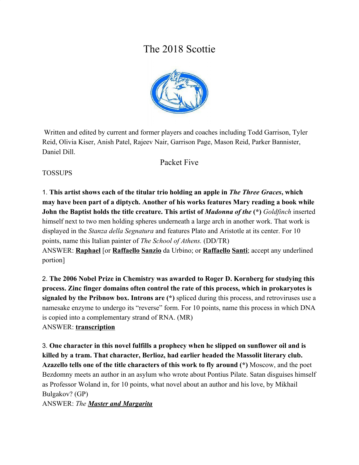# The 2018 Scottie



 Written and edited by current and former players and coaches including Todd Garrison, Tyler Reid, Olivia Kiser, Anish Patel, Rajeev Nair, Garrison Page, Mason Reid, Parker Bannister, Daniel Dill.

# Packet Five

## **TOSSUPS**

1. **This artist shows each of the titular trio holding an apple in** *The Three Graces***, which may have been part of a diptych. Another of his works features Mary reading a book while John the Baptist holds the title creature. This artist of** *Madonna of the* **(\*)** *Goldfinch* inserted himself next to two men holding spheres underneath a large arch in another work. That work is displayed in the *Stanza della Segnatura* and features Plato and Aristotle at its center. For 10 points, name this Italian painter of *The School of Athens.* (DD/TR) ANSWER: **Raphael** [or **Raffaello Sanzio** da Urbino; or **Raffaello Santi**; accept any underlined portion]

2. **The 2006 Nobel Prize in Chemistry was awarded to Roger D. Kornberg for studying this process. Zinc finger domains often control the rate of this process, which in prokaryotes is signaled by the Pribnow box. Introns are (\*)** spliced during this process, and retroviruses use a namesake enzyme to undergo its "reverse" form. For 10 points, name this process in which DNA is copied into a complementary strand of RNA. (MR) ANSWER: **transcription**

3. **One character in this novel fulfills a prophecy when he slipped on sunflower oil and is killed by a tram. That character, Berlioz, had earlier headed the Massolit literary club. Azazello tells one of the title characters of this work to fly around (\*)** Moscow, and the poet Bezdomny meets an author in an asylum who wrote about Pontius Pilate. Satan disguises himself as Professor Woland in, for 10 points, what novel about an author and his love, by Mikhail Bulgakov? (GP) ANSWER: *The Master and Margarita*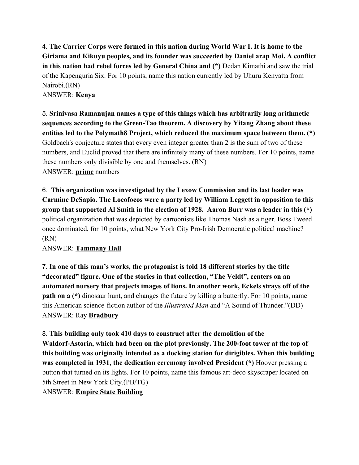4. **The Carrier Corps were formed in this nation during World War I. It is home to the Giriama and Kikuyu peoples, and its founder was succeeded by Daniel arap Moi. A conflict in this nation had rebel forces led by General China and (\*)** Dedan Kimathi and saw the trial of the Kapenguria Six. For 10 points, name this nation currently led by Uhuru Kenyatta from Nairobi.(RN)

ANSWER: **Kenya**

5. **Srinivasa Ramanujan names a type of this things which has arbitrarily long arithmetic sequences according to the Green-Tao theorem. A discovery by Yitang Zhang about these entities led to the Polymath8 Project, which reduced the maximum space between them. (\*)** Goldbach's conjecture states that every even integer greater than 2 is the sum of two of these numbers, and Euclid proved that there are infinitely many of these numbers. For 10 points, name these numbers only divisible by one and themselves. (RN) ANSWER: **prime** numbers

6. **This organization was investigated by the Lexow Commission and its last leader was Carmine DeSapio. The Locofocos were a party led by William Leggett in opposition to this group that supported Al Smith in the election of 1928. Aaron Burr was a leader in this (\*)** political organization that was depicted by cartoonists like Thomas Nash as a tiger. Boss Tweed once dominated, for 10 points, what New York City Pro-Irish Democratic political machine? (RN)

ANSWER: **Tammany Hall**

7. **In one of this man's works, the protagonist is told 18 different stories by the title "decorated" figure. One of the stories in that collection, "The Veldt", centers on an automated nursery that projects images of lions. In another work, Eckels strays off of the path on a** (\*) dinosaur hunt, and changes the future by killing a butterfly. For 10 points, name this American science-fiction author of the *Illustrated Man* and "A Sound of Thunder."(DD) ANSWER: Ray **Bradbury**

8. **This building only took 410 days to construct after the demolition of the Waldorf-Astoria, which had been on the plot previously. The 200-foot tower at the top of this building was originally intended as a docking station for dirigibles. When this building was completed in 1931, the dedication ceremony involved President (\*)** Hoover pressing a button that turned on its lights. For 10 points, name this famous art-deco skyscraper located on 5th Street in New York City.(PB/TG) ANSWER: **Empire State Building**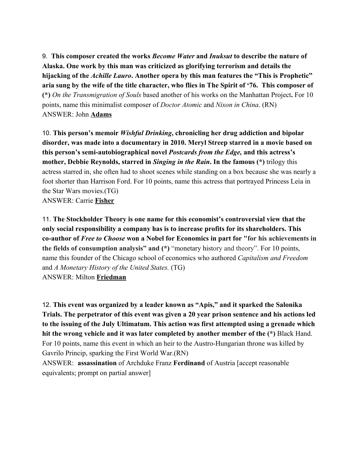9. **This composer created the works** *Become Water* **and** *Inuksut* **to describe the nature of Alaska. One work by this man was criticized as glorifying terrorism and details the hijacking of the** *Achille Lauro***. Another opera by this man features the "This is Prophetic" aria sung by the wife of the title character, who flies in The Spirit of '76. This composer of (\*)** *On the Transmigration of Souls* based another of his works on the Manhattan Project**.** For 10 points, name this minimalist composer of *Doctor Atomic* and *Nixon in China*. (RN) ANSWER: John **Adams**

10. **This person's memoir** *Wishful Drinking***, chronicling her drug addiction and bipolar disorder, was made into a documentary in 2010. Meryl Streep starred in a movie based on this person's semi-autobiographical novel** *Postcards from the Edge,* **and this actress's mother, Debbie Reynolds, starred in** *Singing in the Rain***. In the famous (\*)** trilogy this actress starred in, she often had to shoot scenes while standing on a box because she was nearly a foot shorter than Harrison Ford. For 10 points, name this actress that portrayed Princess Leia in the Star Wars movies.(TG) ANSWER: Carrie **Fisher**

11. **The Stockholder Theory is one name for this economist's controversial view that the only social responsibility a company has is to increase profits for its shareholders. This co-author of** *Free to Choose* **won a Nobel for Economics in part for "for his achievements in the fields of consumption analysis" and (\*)** "[monetary](https://en.wikipedia.org/wiki/Money_supply) history and theory". For 10 points, name this founder of the Chicago school of economics who authored *Capitalism and Freedom* and *A Monetary History of the United States.* (TG) ANSWER: Milton **Friedman**

12. **This event was organized by a leader known as "Apis," and it sparked the Salonika Trials. The perpetrator of this event was given a 20 year prison sentence and his actions led to the issuing of the July Ultimatum. This action was first attempted using a grenade which hit the wrong vehicle and it was later completed by another member of the (\*)** Black Hand. For 10 points, name this event in which an heir to the Austro-Hungarian throne was killed by Gavrilo Princip, sparking the First World War.(RN)

ANSWER: **assassination** of Archduke Franz **Ferdinand** of Austria [accept reasonable equivalents; prompt on partial answer]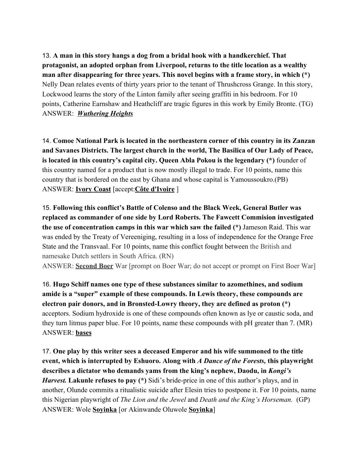13. **A man in this story hangs a dog from a bridal hook with a handkerchief. That protagonist, an adopted orphan from Liverpool, returns to the title location as a wealthy man after disappearing for three years. This novel begins with a frame story, in which (\*)** Nelly Dean relates events of thirty years prior to the tenant of Thrushcross Grange. In this story, Lockwood learns the story of the Linton family after seeing graffiti in his bedroom. For 10 points, Catherine Earnshaw and Heathcliff are tragic figures in this work by Emily Bronte. (TG) ANSWER: *Wuthering Heights*

14. **Comoe National Park is located in the northeastern corner of this country in its Zanzan and Savanes Districts. The largest church in the world, The Basilica of Our Lady of Peace, is located in this country's capital city. Queen Abla Pokou is the legendary (\*)** founder of this country named for a product that is now mostly illegal to trade. For 10 points, name this country that is bordered on the east by Ghana and whose capital is Yamoussoukro.(PB) ANSWER: **Ivory Coast** [accept:**Côte d'Ivoire** ]

15. **Following this conflict's Battle of Colenso and the Black Week, General Butler was replaced as commander of one side by Lord Roberts. The Fawcett Commision investigated the use of concentration camps in this war which saw the failed (\*)** Jameson Raid. This war was ended by the Treaty of Vereeniging, resulting in a loss of independence for the Orange Free State and the Transvaal. For 10 points, name this conflict fought between the British and namesake Dutch settlers in South Africa. (RN)

ANSWER: **Second Boer** War [prompt on Boer War; do not accept or prompt on First Boer War]

16. **Hugo Schiff names one type of these substances similar to azomethines, and sodium amide is a "super" example of these compounds. In Lewis theory, these compounds are electron pair donors, and in Bronsted-Lowry theory, they are defined as proton (\*)** acceptors. Sodium hydroxide is one of these compounds often known as lye or caustic soda, and they turn litmus paper blue. For 10 points, name these compounds with pH greater than 7. (MR) ANSWER: **bases**

17. **One play by this writer sees a deceased Emperor and his wife summoned to the title event, which is interrupted by Eshuoro. Along with** *A Dance of the Forests,* **this playwright describes a dictator who demands yams from the king's nephew, Daodu, in** *Kongi's Harvest.* Lakunle refuses to pay (\*) Sidi's bride-price in one of this author's plays, and in another, Olunde commits a ritualistic suicide after Elesin tries to postpone it. For 10 points, name this Nigerian playwright of *The Lion and the Jewel* and *Death and the King's Horseman.* (GP) ANSWER: Wole **Soyinka** [or Akinwande Oluwole **Soyinka**]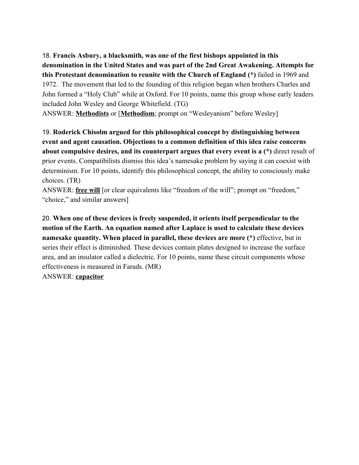18. **Francis Asbury, a blacksmith, was one of the first bishops appointed in this denomination in the United States and was part of the 2nd Great Awakening. Attempts for this Protestant denomination to reunite with the Church of England (\*)** failed in 1969 and 1972. The movement that led to the founding of this religion began when brothers Charles and John formed a "Holy Club" while at Oxford. For 10 points, name this group whose early leaders included John Wesley and George Whitefield. (TG)

ANSWER: **Methodists** or [**Methodism**; prompt on "Wesleyanism" before Wesley]

19. **Roderick Chisolm argued for this philosophical concept by distinguishing between event and agent causation. Objections to a common definition of this idea raise concerns about compulsive desires, and its counterpart argues that every event is a (\*)** direct result of prior events. Compatibilists dismiss this idea's namesake problem by saying it can coexist with determinism. For 10 points, identify this philosophical concept, the ability to consciously make choices. (TR)

ANSWER: **free will** [or clear equivalents like "freedom of the will"; prompt on "freedom," "choice," and similar answers]

20. **When one of these devices is freely suspended, it orients itself perpendicular to the motion of the Earth. An equation named after Laplace is used to calculate these devices namesake quantity. When placed in parallel, these devices are more (\*)** effective, but in series their effect is diminished. These devices contain plates designed to increase the surface area, and an insulator called a dielectric. For 10 points, name these circuit components whose effectiveness is measured in Farads. (MR)

ANSWER: **capacitor**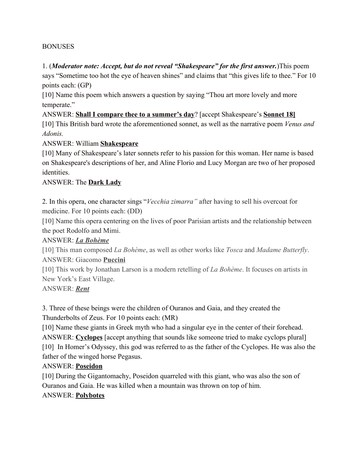#### BONUSES

1. (*Moderator note: Accept, but do not reveal "Shakespeare" for the first answer.*)This poem says "Sometime too hot the eye of heaven shines" and claims that "this gives life to thee." For 10 points each: (GP)

[10] Name this poem which answers a question by saying "Thou art more lovely and more temperate."

ANSWER: **Shall I compare thee to a summer's day**? [accept Shakespeare's **Sonnet 18]** [10] This British bard wrote the aforementioned sonnet, as well as the narrative poem *Venus and Adonis.*

ANSWER: William **Shakespeare**

[10] Many of Shakespeare's later sonnets refer to his passion for this woman. Her name is based on Shakespeare's descriptions of her, and Aline Florio and Lucy Morgan are two of her proposed identities.

#### ANSWER: The **Dark Lady**

2. In this opera, one character sings "*Vecchia zimarra"* after having to sell his overcoat for medicine. For 10 points each: (DD)

[10] Name this opera centering on the lives of poor Parisian artists and the relationship between the poet Rodolfo and Mimi.

#### ANSWER: *La Bohème*

[10] This man composed *La Bohème*, as well as other works like *Tosca* and *Madame Butterfly*. ANSWER: Giacomo **Puccini**

[10] This work by Jonathan Larson is a modern retelling of *La Bohème*. It focuses on artists in New York's East Village.

ANSWER: *Rent*

3. Three of these beings were the children of Ouranos and Gaia, and they created the Thunderbolts of Zeus. For 10 points each: (MR)

[10] Name these giants in Greek myth who had a singular eye in the center of their forehead. ANSWER: **Cyclopes** [accept anything that sounds like someone tried to make cyclops plural] [10] In Homer's Odyssey, this god was referred to as the father of the Cyclopes. He was also the father of the winged horse Pegasus.

#### ANSWER: **Poseidon**

[10] During the Gigantomachy, Poseidon quarreled with this giant, who was also the son of Ouranos and Gaia. He was killed when a mountain was thrown on top of him. ANSWER: **Polybotes**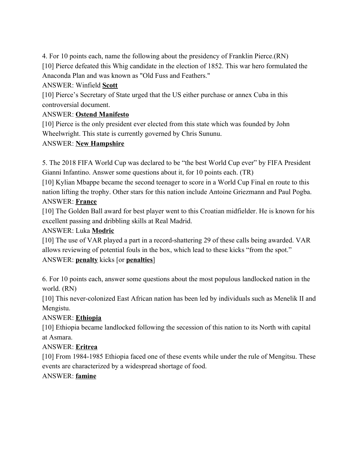4. For 10 points each, name the following about the presidency of Franklin Pierce.(RN) [10] Pierce defeated this Whig candidate in the election of 1852. This war hero formulated the Anaconda Plan and was known as "Old Fuss and Feathers."

## ANSWER: Winfield **Scott**

[10] Pierce's Secretary of State urged that the US either purchase or annex Cuba in this controversial document.

# ANSWER: **Ostend Manifesto**

[10] Pierce is the only president ever elected from this state which was founded by John Wheelwright. This state is currently governed by Chris Sununu.

# ANSWER: **New Hampshire**

5. The 2018 FIFA World Cup was declared to be "the best World Cup ever" by FIFA President Gianni Infantino. Answer some questions about it, for 10 points each. (TR)

[10] Kylian Mbappe became the second teenager to score in a World Cup Final en route to this nation lifting the trophy. Other stars for this nation include Antoine Griezmann and Paul Pogba. ANSWER: **France**

[10] The Golden Ball award for best player went to this Croatian midfielder. He is known for his excellent passing and dribbling skills at Real Madrid.

# ANSWER: Luka **Modric**

[10] The use of VAR played a part in a record-shattering 29 of these calls being awarded. VAR allows reviewing of potential fouls in the box, which lead to these kicks "from the spot." ANSWER: **penalty** kicks [or **penalties**]

6. For 10 points each, answer some questions about the most populous landlocked nation in the world. (RN)

[10] This never-colonized East African nation has been led by individuals such as Menelik II and Mengistu.

# ANSWER: **Ethiopia**

[10] Ethiopia became landlocked following the secession of this nation to its North with capital at Asmara.

# ANSWER: **Eritrea**

[10] From 1984-1985 Ethiopia faced one of these events while under the rule of Mengitsu. These events are characterized by a widespread shortage of food.

# ANSWER: **famine**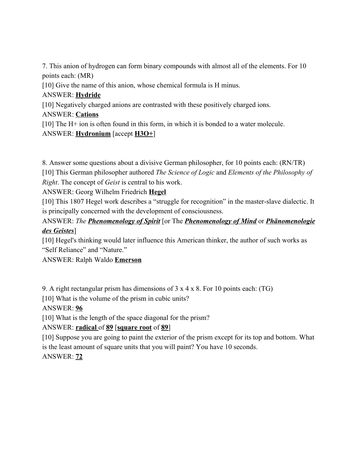7. This anion of hydrogen can form binary compounds with almost all of the elements. For 10 points each: (MR) [10] Give the name of this anion, whose chemical formula is H minus. ANSWER: **Hydride** [10] Negatively charged anions are contrasted with these positively charged ions. ANSWER: **Cations** [10] The H+ ion is often found in this form, in which it is bonded to a water molecule. ANSWER: **Hydronium** [accept **H3O+**]

8. Answer some questions about a divisive German philosopher, for 10 points each: (RN/TR) [10] This German philosopher authored *The Science of Logic* and *Elements of the Philosophy of Right*. The concept of *Geist* is central to his work.

ANSWER: Georg Wilhelm Friedrich **Hegel**

[10] This 1807 Hegel work describes a "struggle for recognition" in the master-slave dialectic. It is principally concerned with the development of consciousness.

ANSWER: *The Phenomenology of Spirit* [or The *Phenomenology of Mind* or *Phänomenologie des Geistes*]

[10] Hegel's thinking would later influence this American thinker, the author of such works as "Self Reliance" and "Nature."

ANSWER: Ralph Waldo **Emerson**

9. A right rectangular prism has dimensions of 3 x 4 x 8. For 10 points each: (TG)

[10] What is the volume of the prism in cubic units?

ANSWER: **96**

[10] What is the length of the space diagonal for the prism?

# ANSWER: **radical** of **89** [**square root** of **89**]

[10] Suppose you are going to paint the exterior of the prism except for its top and bottom. What is the least amount of square units that you will paint? You have 10 seconds.

ANSWER: **72**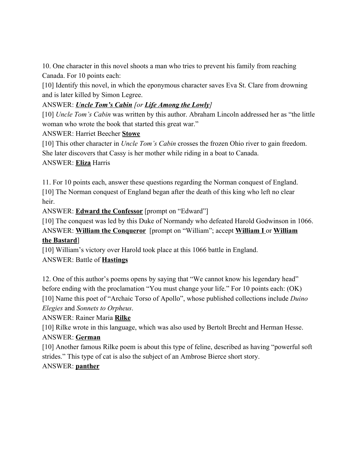10. One character in this novel shoots a man who tries to prevent his family from reaching Canada. For 10 points each:

[10] Identify this novel, in which the eponymous character saves Eva St. Clare from drowning and is later killed by Simon Legree.

## ANSWER: *Uncle Tom's Cabin [or Life Among the Lowly]*

[10] *Uncle Tom's Cabin* was written by this author. Abraham Lincoln addressed her as "the little woman who wrote the book that started this great war."

#### ANSWER: Harriet Beecher **Stowe**

[10] This other character in *Uncle Tom's Cabin* crosses the frozen Ohio river to gain freedom. She later discovers that Cassy is her mother while riding in a boat to Canada. ANSWER: **Eliza** Harris

11. For 10 points each, answer these questions regarding the Norman conquest of England. [10] The Norman conquest of England began after the death of this king who left no clear heir.

ANSWER: **Edward the Confessor** [prompt on "Edward"]

[10] The conquest was led by this Duke of Normandy who defeated Harold Godwinson in 1066. ANSWER: **William the Conqueror** [prompt on "William"; accept **William I** or **William**

# **the Bastard**]

[10] William's victory over Harold took place at this 1066 battle in England. ANSWER: Battle of **Hastings**

12. One of this author's poems opens by saying that "We cannot know his legendary head" before ending with the proclamation "You must change your life." For 10 points each: (OK) [10] Name this poet of "Archaic Torso of Apollo", whose published collections include *Duino Elegies* and *Sonnets to Orpheus*.

# ANSWER: Rainer Maria **Rilke**

[10] Rilke wrote in this language, which was also used by Bertolt Brecht and Herman Hesse. ANSWER: **German**

[10] Another famous Rilke poem is about this type of feline, described as having "powerful soft strides." This type of cat is also the subject of an Ambrose Bierce short story.

# ANSWER: **panther**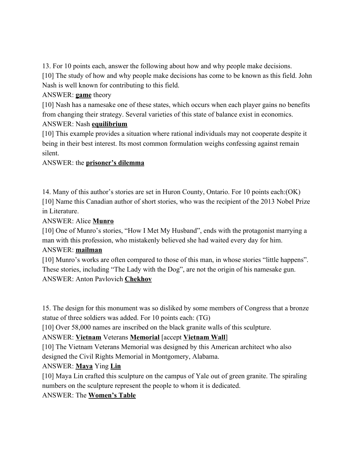13. For 10 points each, answer the following about how and why people make decisions. [10] The study of how and why people make decisions has come to be known as this field. John Nash is well known for contributing to this field.

#### ANSWER: **game** theory

[10] Nash has a namesake one of these states, which occurs when each player gains no benefits from changing their strategy. Several varieties of this state of balance exist in economics. ANSWER: Nash **equilibrium**

[10] This example provides a situation where rational individuals may not cooperate despite it being in their best interest. Its most common formulation weighs confessing against remain silent.

#### ANSWER: the **prisoner's dilemma**

14. Many of this author's stories are set in Huron County, Ontario. For 10 points each:(OK) [10] Name this Canadian author of short stories, who was the recipient of the 2013 Nobel Prize in Literature.

#### ANSWER: Alice **Munro**

[10] One of Munro's stories, "How I Met My Husband", ends with the protagonist marrying a man with this profession, who mistakenly believed she had waited every day for him.

#### ANSWER: **mailman**

[10] Munro's works are often compared to those of this man, in whose stories "little happens". These stories, including "The Lady with the Dog", are not the origin of his namesake gun. ANSWER: Anton Pavlovich **Chekhov**

15. The design for this monument was so disliked by some members of Congress that a bronze statue of three soldiers was added. For 10 points each: (TG)

[10] Over 58,000 names are inscribed on the black granite walls of this sculpture.

#### ANSWER: **Vietnam** Veterans **Memorial** [accept **Vietnam Wall**]

[10] The Vietnam Veterans Memorial was designed by this American architect who also

designed the Civil Rights Memorial in Montgomery, Alabama.

#### ANSWER: **Maya** Ying **Lin**

[10] Maya Lin crafted this sculpture on the campus of Yale out of green granite. The spiraling numbers on the sculpture represent the people to whom it is dedicated.

#### ANSWER: The **Women's Table**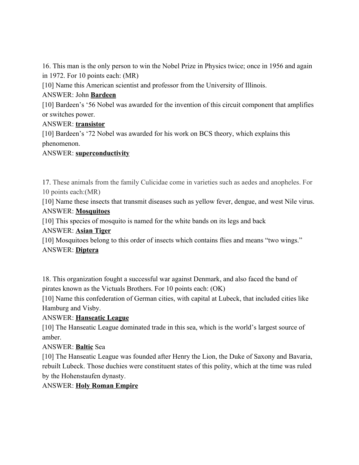16. This man is the only person to win the Nobel Prize in Physics twice; once in 1956 and again in 1972. For 10 points each: (MR)

[10] Name this American scientist and professor from the University of Illinois.

## ANSWER: John **Bardeen**

[10] Bardeen's '56 Nobel was awarded for the invention of this circuit component that amplifies or switches power.

## ANSWER: **transistor**

[10] Bardeen's '72 Nobel was awarded for his work on BCS theory, which explains this phenomenon.

## ANSWER: **superconductivity**

17. These animals from the family Culicidae come in varieties such as aedes and anopheles. For 10 points each:(MR)

[10] Name these insects that transmit diseases such as yellow fever, dengue, and west Nile virus. ANSWER: **Mosquitoes**

[10] This species of mosquito is named for the white bands on its legs and back

# ANSWER: **Asian Tiger**

[10] Mosquitoes belong to this order of insects which contains flies and means "two wings." ANSWER: **Diptera**

18. This organization fought a successful war against Denmark, and also faced the band of pirates known as the Victuals Brothers. For 10 points each: (OK)

[10] Name this confederation of German cities, with capital at Lubeck, that included cities like Hamburg and Visby.

# ANSWER: **Hanseatic League**

[10] The Hanseatic League dominated trade in this sea, which is the world's largest source of amber.

# ANSWER: **Baltic** Sea

[10] The Hanseatic League was founded after Henry the Lion, the Duke of Saxony and Bavaria, rebuilt Lubeck. Those duchies were constituent states of this polity, which at the time was ruled by the Hohenstaufen dynasty.

# ANSWER: **Holy Roman Empire**